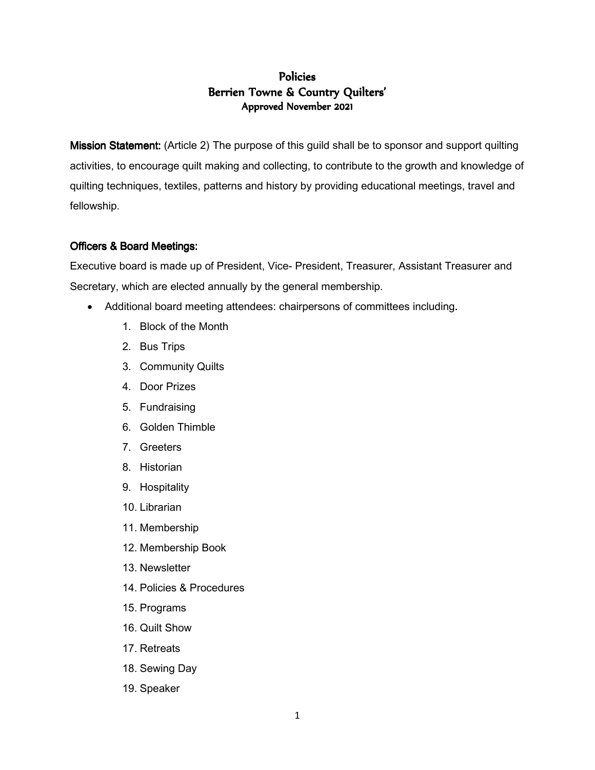# **Policies** Berrien Towne & Country Quilters' Approved November 2021

Mission Statement: (Article 2) The purpose of this guild shall be to sponsor and support quilting activities, to encourage quilt making and collecting, to contribute to the growth and knowledge of quilting techniques, textiles, patterns and history by providing educational meetings, travel and fellowship.

## Officers & Board Meetings:

Executive board is made up of President, Vice- President, Treasurer, Assistant Treasurer and Secretary, which are elected annually by the general membership.

- Additional board meeting attendees: chairpersons of committees including.
	- 1. Block of the Month
	- 2. Bus Trips
	- 3. Community Quilts
	- 4. Door Prizes
	- 5. Fundraising
	- 6. Golden Thimble
	- 7. Greeters
	- 8. Historian
	- 9. Hospitality
	- 10. Librarian
	- 11. Membership
	- 12. Membership Book
	- 13. Newsletter
	- 14. Policies & Procedures
	- 15. Programs
	- 16. Quilt Show
	- 17. Retreats
	- 18. Sewing Day
	- 19. Speaker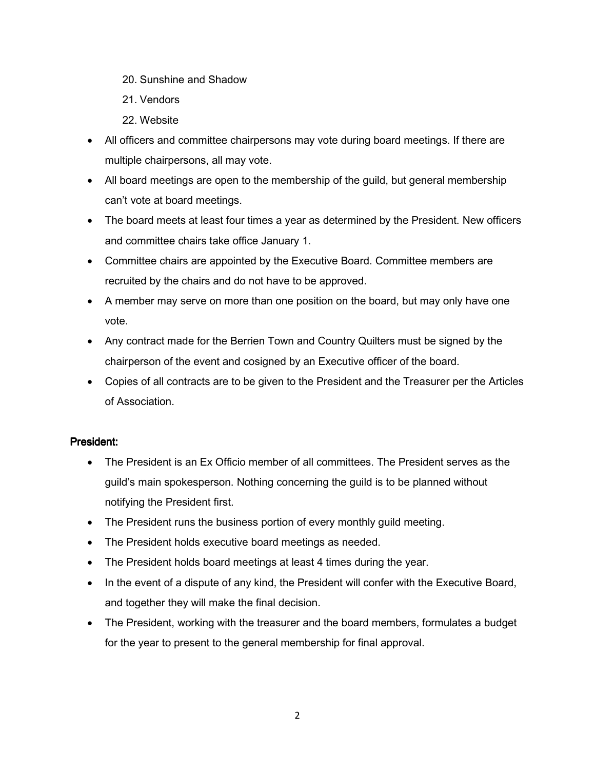- 20. Sunshine and Shadow
- 21. Vendors
- 22. Website
- All officers and committee chairpersons may vote during board meetings. If there are multiple chairpersons, all may vote.
- All board meetings are open to the membership of the guild, but general membership can't vote at board meetings.
- The board meets at least four times a year as determined by the President. New officers and committee chairs take office January 1.
- Committee chairs are appointed by the Executive Board. Committee members are recruited by the chairs and do not have to be approved.
- A member may serve on more than one position on the board, but may only have one vote.
- Any contract made for the Berrien Town and Country Quilters must be signed by the chairperson of the event and cosigned by an Executive officer of the board.
- Copies of all contracts are to be given to the President and the Treasurer per the Articles of Association.

# President:

- The President is an Ex Officio member of all committees. The President serves as the guild's main spokesperson. Nothing concerning the guild is to be planned without notifying the President first.
- The President runs the business portion of every monthly guild meeting.
- The President holds executive board meetings as needed.
- The President holds board meetings at least 4 times during the year.
- In the event of a dispute of any kind, the President will confer with the Executive Board, and together they will make the final decision.
- The President, working with the treasurer and the board members, formulates a budget for the year to present to the general membership for final approval.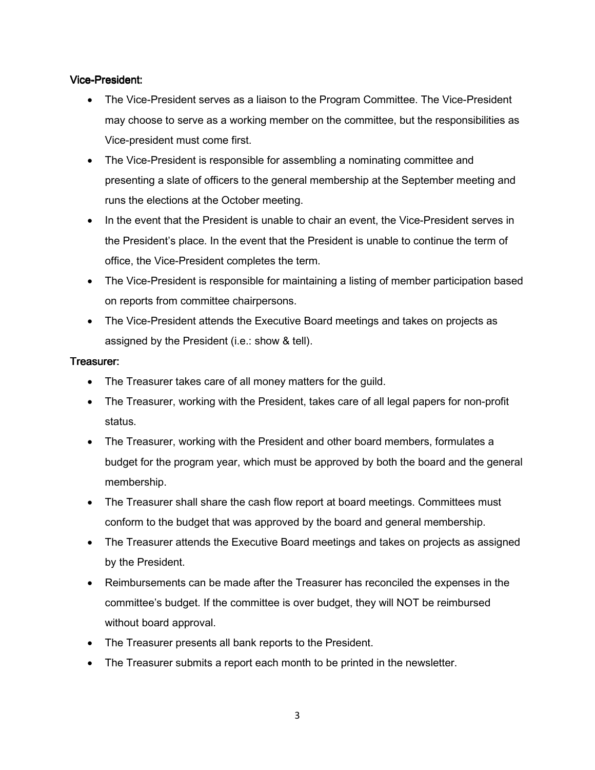### Vice-President:

- The Vice-President serves as a liaison to the Program Committee. The Vice-President may choose to serve as a working member on the committee, but the responsibilities as Vice-president must come first.
- The Vice-President is responsible for assembling a nominating committee and presenting a slate of officers to the general membership at the September meeting and runs the elections at the October meeting.
- In the event that the President is unable to chair an event, the Vice-President serves in the President's place. In the event that the President is unable to continue the term of office, the Vice-President completes the term.
- The Vice-President is responsible for maintaining a listing of member participation based on reports from committee chairpersons.
- The Vice-President attends the Executive Board meetings and takes on projects as assigned by the President (i.e.: show & tell).

### Treasurer:

- The Treasurer takes care of all money matters for the guild.
- The Treasurer, working with the President, takes care of all legal papers for non-profit status.
- The Treasurer, working with the President and other board members, formulates a budget for the program year, which must be approved by both the board and the general membership.
- The Treasurer shall share the cash flow report at board meetings. Committees must conform to the budget that was approved by the board and general membership.
- The Treasurer attends the Executive Board meetings and takes on projects as assigned by the President.
- Reimbursements can be made after the Treasurer has reconciled the expenses in the committee's budget. If the committee is over budget, they will NOT be reimbursed without board approval.
- The Treasurer presents all bank reports to the President.
- The Treasurer submits a report each month to be printed in the newsletter.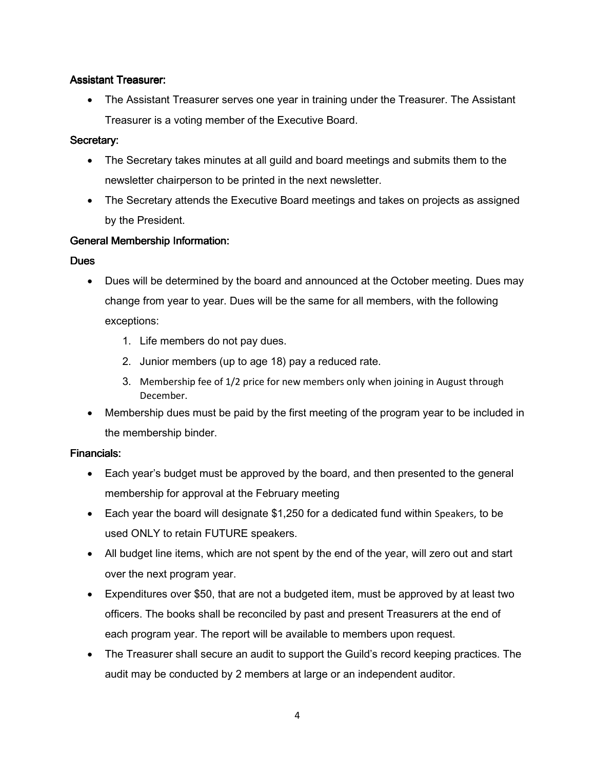## **Assistant Treasurer:**

• The Assistant Treasurer serves one year in training under the Treasurer. The Assistant Treasurer is a voting member of the Executive Board.

## Secretary:

- The Secretary takes minutes at all guild and board meetings and submits them to the newsletter chairperson to be printed in the next newsletter.
- The Secretary attends the Executive Board meetings and takes on projects as assigned by the President.

## General Membership Information:

### **Dues**

- Dues will be determined by the board and announced at the October meeting. Dues may change from year to year. Dues will be the same for all members, with the following exceptions:
	- 1. Life members do not pay dues.
	- 2. Junior members (up to age 18) pay a reduced rate.
	- 3. Membership fee of 1/2 price for new members only when joining in August through December.
- Membership dues must be paid by the first meeting of the program year to be included in the membership binder.

### Financials: Financials:

- Each year's budget must be approved by the board, and then presented to the general membership for approval at the February meeting
- Each year the board will designate \$1,250 for a dedicated fund within Speakers, to be used ONLY to retain FUTURE speakers.
- All budget line items, which are not spent by the end of the year, will zero out and start over the next program year.
- Expenditures over \$50, that are not a budgeted item, must be approved by at least two officers. The books shall be reconciled by past and present Treasurers at the end of each program year. The report will be available to members upon request.
- The Treasurer shall secure an audit to support the Guild's record keeping practices. The audit may be conducted by 2 members at large or an independent auditor.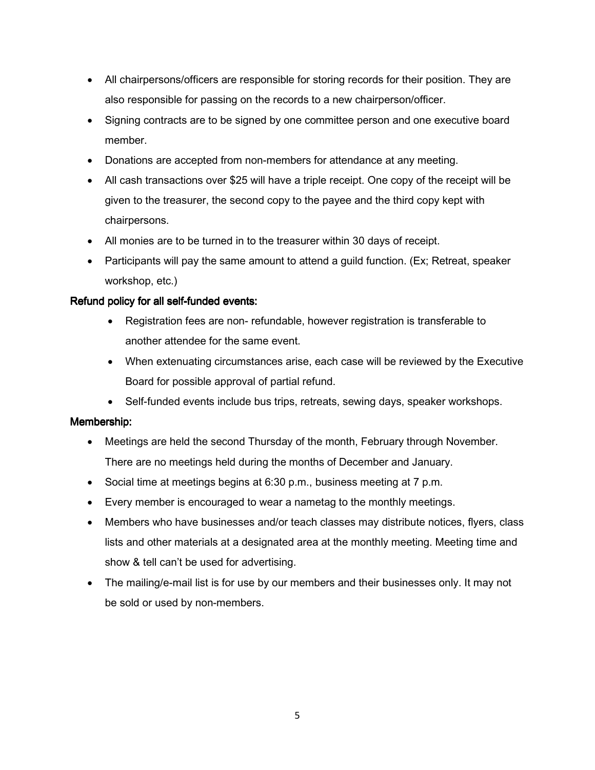- All chairpersons/officers are responsible for storing records for their position. They are also responsible for passing on the records to a new chairperson/officer.
- Signing contracts are to be signed by one committee person and one executive board member.
- Donations are accepted from non-members for attendance at any meeting.
- All cash transactions over \$25 will have a triple receipt. One copy of the receipt will be given to the treasurer, the second copy to the payee and the third copy kept with chairpersons.
- All monies are to be turned in to the treasurer within 30 days of receipt.
- Participants will pay the same amount to attend a guild function. (Ex; Retreat, speaker workshop, etc.)

### Refund policy for all self-funded events:

- Registration fees are non- refundable, however registration is transferable to another attendee for the same event.
- When extenuating circumstances arise, each case will be reviewed by the Executive Board for possible approval of partial refund.
- Self-funded events include bus trips, retreats, sewing days, speaker workshops.

### Membership:

- Meetings are held the second Thursday of the month, February through November. There are no meetings held during the months of December and January.
- Social time at meetings begins at 6:30 p.m., business meeting at 7 p.m.
- Every member is encouraged to wear a nametag to the monthly meetings.
- Members who have businesses and/or teach classes may distribute notices, flyers, class lists and other materials at a designated area at the monthly meeting. Meeting time and show & tell can't be used for advertising.
- The mailing/e-mail list is for use by our members and their businesses only. It may not be sold or used by non-members.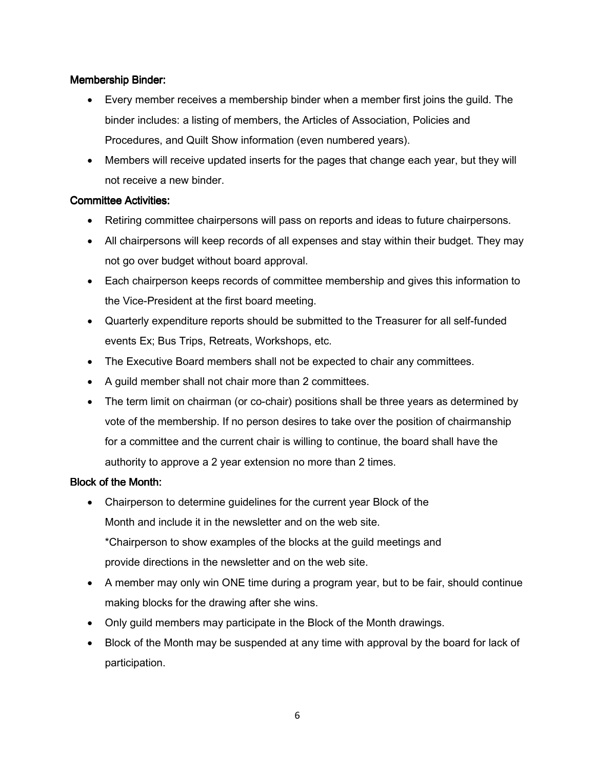## Membership Binder:

- Every member receives a membership binder when a member first joins the guild. The binder includes: a listing of members, the Articles of Association, Policies and Procedures, and Quilt Show information (even numbered years).
- Members will receive updated inserts for the pages that change each year, but they will not receive a new binder.

### Committee Activities:

- Retiring committee chairpersons will pass on reports and ideas to future chairpersons.
- All chairpersons will keep records of all expenses and stay within their budget. They may not go over budget without board approval.
- Each chairperson keeps records of committee membership and gives this information to the Vice-President at the first board meeting.
- Quarterly expenditure reports should be submitted to the Treasurer for all self-funded events Ex; Bus Trips, Retreats, Workshops, etc.
- The Executive Board members shall not be expected to chair any committees.
- A guild member shall not chair more than 2 committees.
- The term limit on chairman (or co-chair) positions shall be three years as determined by vote of the membership. If no person desires to take over the position of chairmanship for a committee and the current chair is willing to continue, the board shall have the authority to approve a 2 year extension no more than 2 times.

### Block of the Month:

• Chairperson to determine guidelines for the current year Block of the Month and include it in the newsletter and on the web site. \*Chairperson to show examples of the blocks at the guild meetings and

provide directions in the newsletter and on the web site.

- A member may only win ONE time during a program year, but to be fair, should continue making blocks for the drawing after she wins.
- Only guild members may participate in the Block of the Month drawings.
- Block of the Month may be suspended at any time with approval by the board for lack of participation.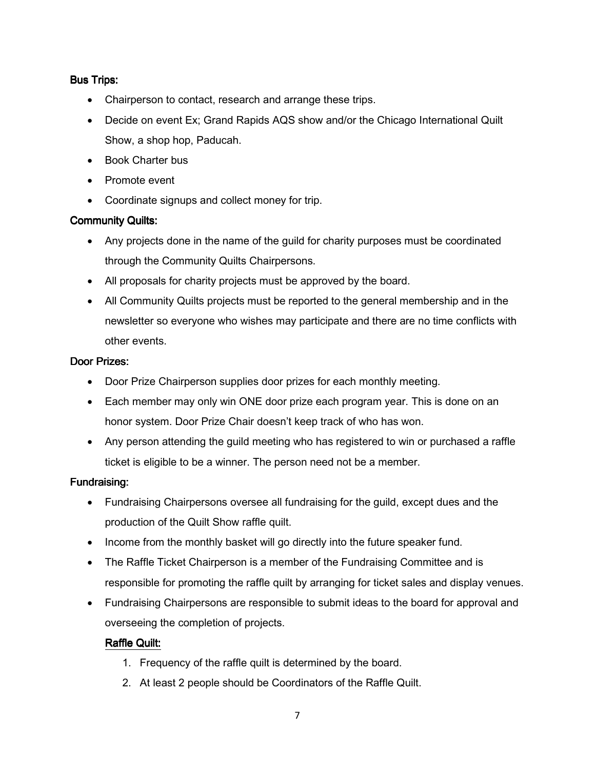## **Bus Trips:**

- Chairperson to contact, research and arrange these trips.
- Decide on event Ex; Grand Rapids AQS show and/or the Chicago International Quilt Show, a shop hop, Paducah.
- Book Charter bus
- Promote event
- Coordinate signups and collect money for trip.

### Community Quilts:

- Any projects done in the name of the guild for charity purposes must be coordinated through the Community Quilts Chairpersons.
- All proposals for charity projects must be approved by the board.
- All Community Quilts projects must be reported to the general membership and in the newsletter so everyone who wishes may participate and there are no time conflicts with other events.

#### Door Prizes:

- Door Prize Chairperson supplies door prizes for each monthly meeting.
- Each member may only win ONE door prize each program year. This is done on an honor system. Door Prize Chair doesn't keep track of who has won.
- Any person attending the guild meeting who has registered to win or purchased a raffle ticket is eligible to be a winner. The person need not be a member.

### Fundraising:

- Fundraising Chairpersons oversee all fundraising for the guild, except dues and the production of the Quilt Show raffle quilt.
- Income from the monthly basket will go directly into the future speaker fund.
- The Raffle Ticket Chairperson is a member of the Fundraising Committee and is responsible for promoting the raffle quilt by arranging for ticket sales and display venues.
- Fundraising Chairpersons are responsible to submit ideas to the board for approval and overseeing the completion of projects.

### Raffle Quilt:

- 1. Frequency of the raffle quilt is determined by the board.
- 2. At least 2 people should be Coordinators of the Raffle Quilt.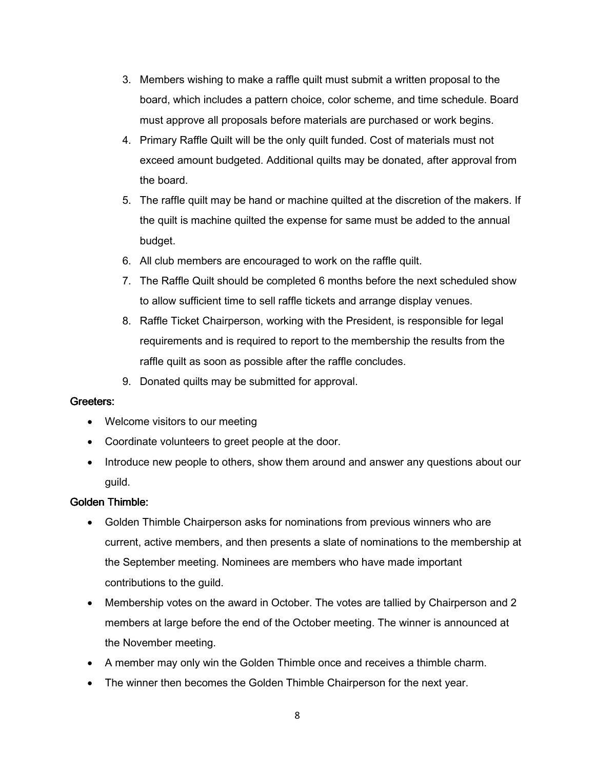- 3. Members wishing to make a raffle quilt must submit a written proposal to the board, which includes a pattern choice, color scheme, and time schedule. Board must approve all proposals before materials are purchased or work begins.
- 4. Primary Raffle Quilt will be the only quilt funded. Cost of materials must not exceed amount budgeted. Additional quilts may be donated, after approval from the board.
- 5. The raffle quilt may be hand or machine quilted at the discretion of the makers. If the quilt is machine quilted the expense for same must be added to the annual budget.
- 6. All club members are encouraged to work on the raffle quilt.
- 7. The Raffle Quilt should be completed 6 months before the next scheduled show to allow sufficient time to sell raffle tickets and arrange display venues.
- 8. Raffle Ticket Chairperson, working with the President, is responsible for legal requirements and is required to report to the membership the results from the raffle quilt as soon as possible after the raffle concludes.
- 9. Donated quilts may be submitted for approval.

### Greeters: Greeters:

- Welcome visitors to our meeting
- Coordinate volunteers to greet people at the door.
- Introduce new people to others, show them around and answer any questions about our guild.

#### Golden Thimble:

- Golden Thimble Chairperson asks for nominations from previous winners who are current, active members, and then presents a slate of nominations to the membership at the September meeting. Nominees are members who have made important contributions to the guild.
- Membership votes on the award in October. The votes are tallied by Chairperson and 2 members at large before the end of the October meeting. The winner is announced at the November meeting.
- A member may only win the Golden Thimble once and receives a thimble charm.
- The winner then becomes the Golden Thimble Chairperson for the next year.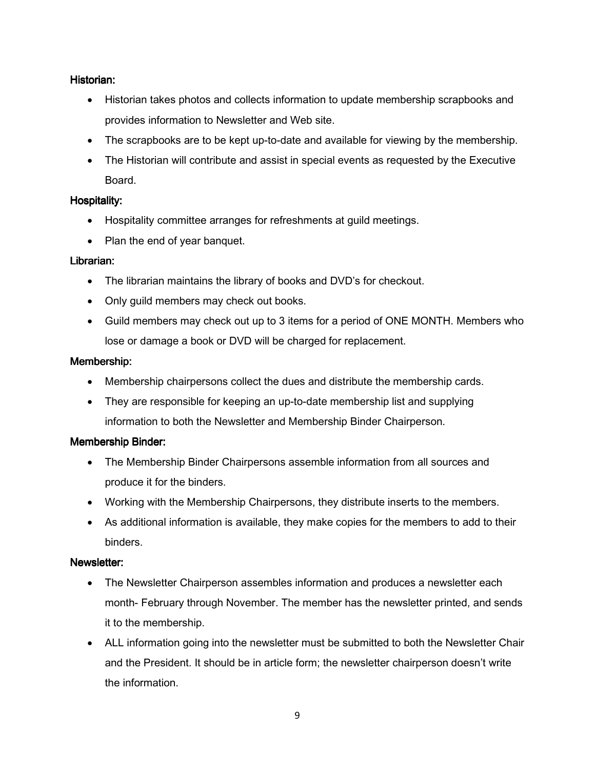## Historian:

- Historian takes photos and collects information to update membership scrapbooks and provides information to Newsletter and Web site.
- The scrapbooks are to be kept up-to-date and available for viewing by the membership.
- The Historian will contribute and assist in special events as requested by the Executive Board.

## Hospitality:

- Hospitality committee arranges for refreshments at guild meetings.
- Plan the end of year banquet.

## Librarian:

- The librarian maintains the library of books and DVD's for checkout.
- Only guild members may check out books.
- Guild members may check out up to 3 items for a period of ONE MONTH. Members who lose or damage a book or DVD will be charged for replacement.

## Membership:

- Membership chairpersons collect the dues and distribute the membership cards.
- They are responsible for keeping an up-to-date membership list and supplying information to both the Newsletter and Membership Binder Chairperson.

# Membership Binder:

- The Membership Binder Chairpersons assemble information from all sources and produce it for the binders.
- Working with the Membership Chairpersons, they distribute inserts to the members.
- As additional information is available, they make copies for the members to add to their binders.

### Newsletter:

- The Newsletter Chairperson assembles information and produces a newsletter each month- February through November. The member has the newsletter printed, and sends it to the membership.
- ALL information going into the newsletter must be submitted to both the Newsletter Chair and the President. It should be in article form; the newsletter chairperson doesn't write the information.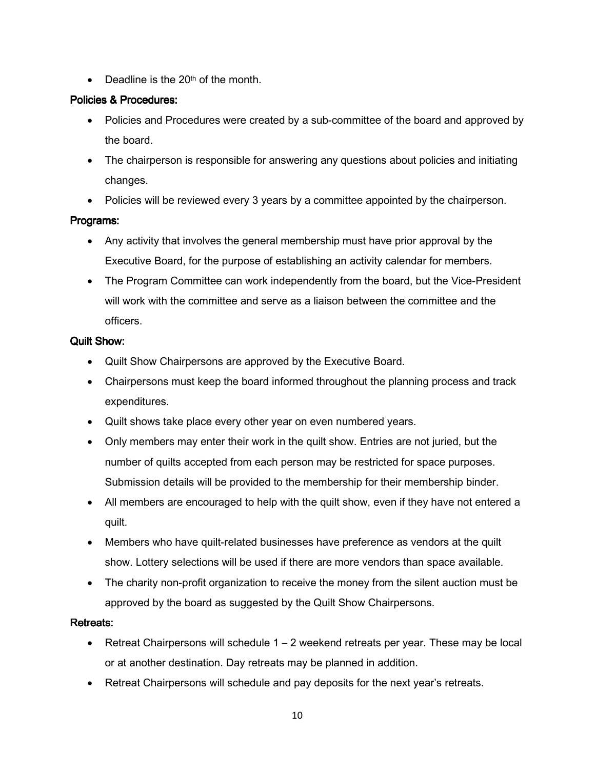• Deadline is the  $20<sup>th</sup>$  of the month.

## Policies & Procedures: & Procedures:

- Policies and Procedures were created by a sub-committee of the board and approved by the board.
- The chairperson is responsible for answering any questions about policies and initiating changes.
- Policies will be reviewed every 3 years by a committee appointed by the chairperson.

# Programs:

- Any activity that involves the general membership must have prior approval by the Executive Board, for the purpose of establishing an activity calendar for members.
- The Program Committee can work independently from the board, but the Vice-President will work with the committee and serve as a liaison between the committee and the officers.

## Quilt Show:

- Quilt Show Chairpersons are approved by the Executive Board.
- Chairpersons must keep the board informed throughout the planning process and track expenditures.
- Quilt shows take place every other year on even numbered years.
- Only members may enter their work in the quilt show. Entries are not juried, but the number of quilts accepted from each person may be restricted for space purposes. Submission details will be provided to the membership for their membership binder.
- All members are encouraged to help with the quilt show, even if they have not entered a quilt.
- Members who have quilt-related businesses have preference as vendors at the quilt show. Lottery selections will be used if there are more vendors than space available.
- The charity non-profit organization to receive the money from the silent auction must be approved by the board as suggested by the Quilt Show Chairpersons.

# Retreats:

- Retreat Chairpersons will schedule  $1 2$  weekend retreats per year. These may be local or at another destination. Day retreats may be planned in addition.
- Retreat Chairpersons will schedule and pay deposits for the next year's retreats.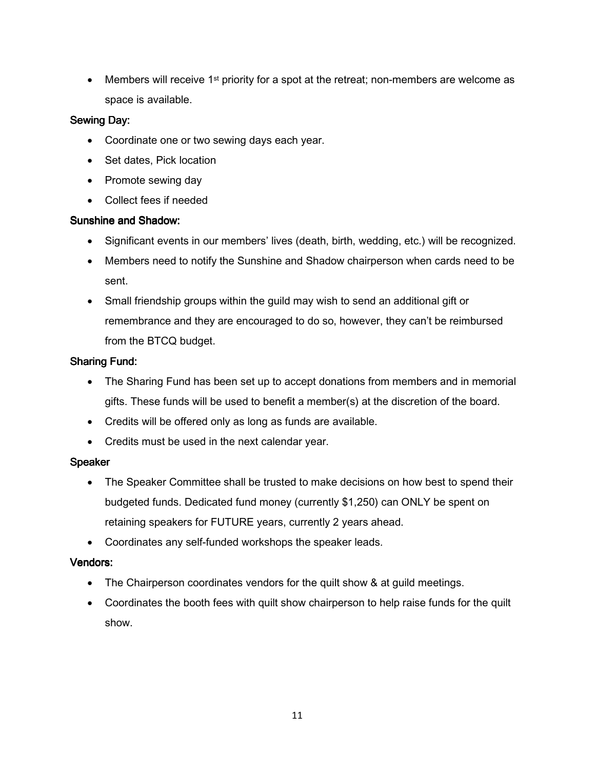• Members will receive 1<sup>st</sup> priority for a spot at the retreat; non-members are welcome as space is available.

## Sewing Day:

- Coordinate one or two sewing days each year.
- Set dates, Pick location
- Promote sewing day
- Collect fees if needed

### Sunshine and Shadow:

- Significant events in our members' lives (death, birth, wedding, etc.) will be recognized.
- Members need to notify the Sunshine and Shadow chairperson when cards need to be sent.
- Small friendship groups within the guild may wish to send an additional gift or remembrance and they are encouraged to do so, however, they can't be reimbursed from the BTCQ budget.

### Sharing Fund:

- The Sharing Fund has been set up to accept donations from members and in memorial gifts. These funds will be used to benefit a member(s) at the discretion of the board.
- Credits will be offered only as long as funds are available.
- Credits must be used in the next calendar year.

#### Speaker

- The Speaker Committee shall be trusted to make decisions on how best to spend their budgeted funds. Dedicated fund money (currently \$1,250) can ONLY be spent on retaining speakers for FUTURE years, currently 2 years ahead.
- Coordinates any self-funded workshops the speaker leads.

### Vendors:

- The Chairperson coordinates vendors for the quilt show & at guild meetings.
- Coordinates the booth fees with quilt show chairperson to help raise funds for the quilt show.